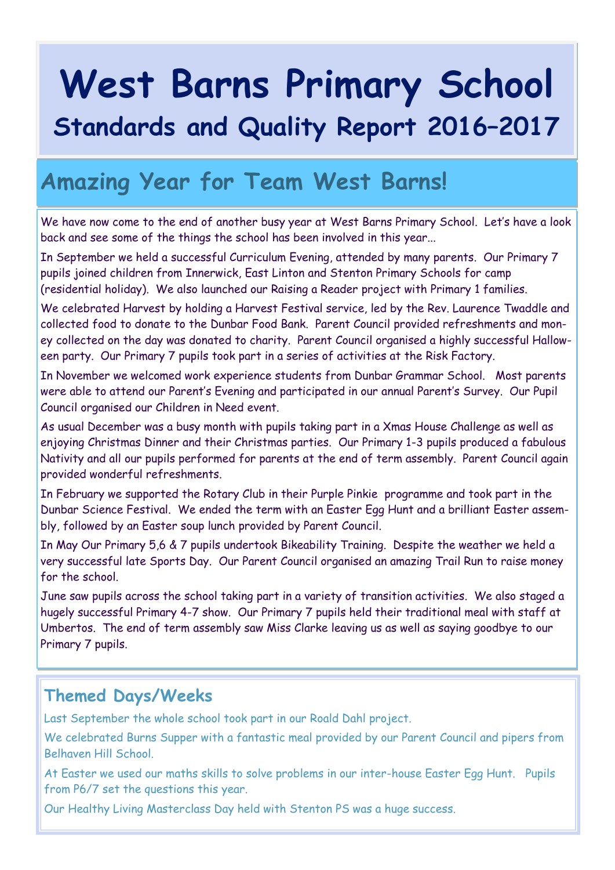# **West Barns Primary School Standards and Quality Report 2016–2017**

## **Amazing Year for Team West Barns!**

We have now come to the end of another busy year at West Barns Primary School. Let's have a look back and see some of the things the school has been involved in this year...

In September we held a successful Curriculum Evening, attended by many parents. Our Primary 7 pupils joined children from Innerwick, East Linton and Stenton Primary Schools for camp (residential holiday). We also launched our Raising a Reader project with Primary 1 families.

We celebrated Harvest by holding a Harvest Festival service, led by the Rev. Laurence Twaddle and collected food to donate to the Dunbar Food Bank. Parent Council provided refreshments and money collected on the day was donated to charity. Parent Council organised a highly successful Halloween party. Our Primary 7 pupils took part in a series of activities at the Risk Factory.

In November we welcomed work experience students from Dunbar Grammar School. Most parents were able to attend our Parent's Evening and participated in our annual Parent's Survey. Our Pupil Council organised our Children in Need event.

As usual December was a busy month with pupils taking part in a Xmas House Challenge as well as enjoying Christmas Dinner and their Christmas parties. Our Primary 1-3 pupils produced a fabulous Nativity and all our pupils performed for parents at the end of term assembly. Parent Council again provided wonderful refreshments.

In February we supported the Rotary Club in their Purple Pinkie programme and took part in the Dunbar Science Festival. We ended the term with an Easter Egg Hunt and a brilliant Easter assembly, followed by an Easter soup lunch provided by Parent Council.

In May Our Primary 5,6 & 7 pupils undertook Bikeability Training. Despite the weather we held a very successful late Sports Day. Our Parent Council organised an amazing Trail Run to raise money for the school.

June saw pupils across the school taking part in a variety of transition activities. We also staged a hugely successful Primary 4-7 show. Our Primary 7 pupils held their traditional meal with staff at Umbertos. The end of term assembly saw Miss Clarke leaving us as well as saying goodbye to our Primary 7 pupils.

### **Themed Days/Weeks**

Last September the whole school took part in our Roald Dahl project.

We celebrated Burns Supper with a fantastic meal provided by our Parent Council and pipers from Belhaven Hill School.

At Easter we used our maths skills to solve problems in our inter-house Easter Egg Hunt. Pupils from P6/7 set the questions this year.

Our Healthy Living Masterclass Day held with Stenton PS was a huge success.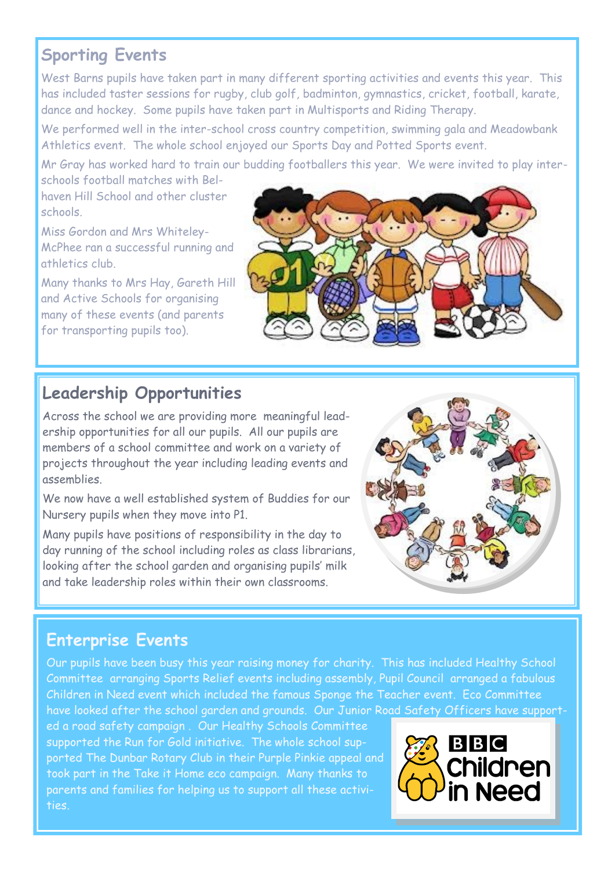## **Sporting Events**

West Barns pupils have taken part in many different sporting activities and events this year. This has included taster sessions for rugby, club golf, badminton, gymnastics, cricket, football, karate, dance and hockey. Some pupils have taken part in Multisports and Riding Therapy.

We performed well in the inter-school cross country competition, swimming gala and Meadowbank Athletics event. The whole school enjoyed our Sports Day and Potted Sports event.

Mr Gray has worked hard to train our budding footballers this year. We were invited to play interschools football matches with Bel-

haven Hill School and other cluster schools.

Miss Gordon and Mrs Whiteley-McPhee ran a successful running and athletics club.

Many thanks to Mrs Hay, Gareth Hill and Active Schools for organising many of these events (and parents for transporting pupils too).



## **Leadership Opportunities**

Across the school we are providing more meaningful leadership opportunities for all our pupils. All our pupils are members of a school committee and work on a variety of projects throughout the year including leading events and assemblies.

We now have a well established system of Buddies for our Nursery pupils when they move into P1.

Many pupils have positions of responsibility in the day to day running of the school including roles as class librarians, looking after the school garden and organising pupils' milk and take leadership roles within their own classrooms.



## **Enterprise Events**

Our pupils have been busy this year raising money for charity. This has included Healthy School Committee arranging Sports Relief events including assembly, Pupil Council arranged a fabulous Children in Need event which included the famous Sponge the Teacher event. Eco Committee have looked after the school garden and grounds. Our Junior Road Safety Officers have support-

ed a road safety campaign . Our Healthy Schools Committee supported the Run for Gold initiative. The whole school supported The Dunbar Rotary Club in their Purple Pinkie appeal and took part in the Take it Home eco campaign. Many thanks to parents and families for helping us to support all these activities.

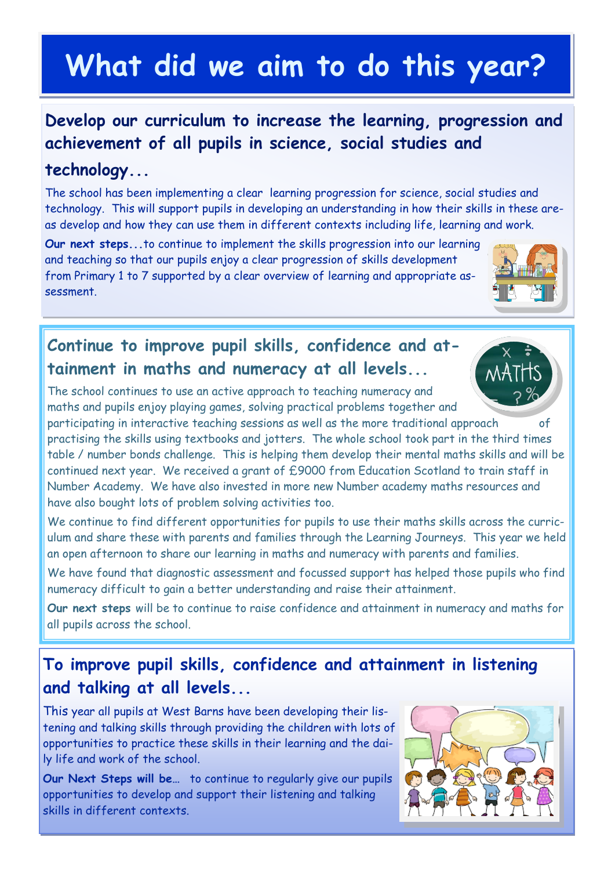## **What did we aim to do this year?**

## **Develop our curriculum to increase the learning, progression and achievement of all pupils in science, social studies and**

#### **technology...**

The school has been implementing a clear learning progression for science, social studies and technology. This will support pupils in developing an understanding in how their skills in these areas develop and how they can use them in different contexts including life, learning and work.

**Our next steps...**to continue to implement the skills progression into our learning and teaching so that our pupils enjoy a clear progression of skills development from Primary 1 to 7 supported by a clear overview of learning and appropriate assessment.

## **Continue to improve pupil skills, confidence and attainment in maths and numeracy at all levels...**

The school continues to use an active approach to teaching numeracy and maths and pupils enjoy playing games, solving practical problems together and

participating in interactive teaching sessions as well as the more traditional approach of practising the skills using textbooks and jotters. The whole school took part in the third times table / number bonds challenge. This is helping them develop their mental maths skills and will be continued next year. We received a grant of £9000 from Education Scotland to train staff in Number Academy. We have also invested in more new Number academy maths resources and have also bought lots of problem solving activities too.

We continue to find different opportunities for pupils to use their maths skills across the curriculum and share these with parents and families through the Learning Journeys. This year we held an open afternoon to share our learning in maths and numeracy with parents and families.

We have found that diagnostic assessment and focussed support has helped those pupils who find numeracy difficult to gain a better understanding and raise their attainment.

**Our next steps** will be to continue to raise confidence and attainment in numeracy and maths for all pupils across the school.

## **To improve pupil skills, confidence and attainment in listening and talking at all levels...**

This year all pupils at West Barns have been developing their listening and talking skills through providing the children with lots of opportunities to practice these skills in their learning and the daily life and work of the school.

**Our Next Steps will be…** to continue to regularly give our pupils opportunities to develop and support their listening and talking skills in different contexts.